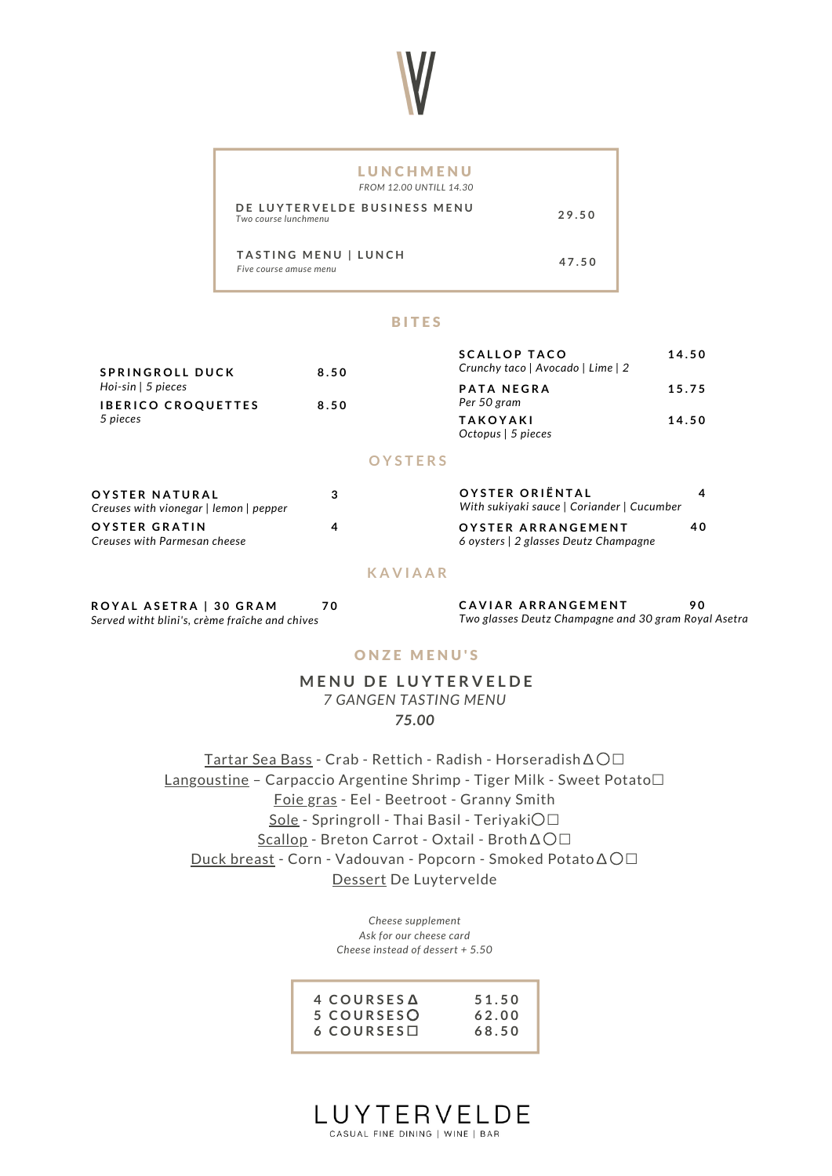

#### **BITES**

| PATA NEGRA<br>15.75<br>Per 50 gram             |
|------------------------------------------------|
| <b>TAKOYAKI</b><br>14.50<br>Octopus   5 pieces |
|                                                |

### **O Y S T E R S**

| OYSTER NATURAL<br>Creuses with vionegar   lemon   pepper | з | OYSTER ORIËNTAL<br>With sukivaki sauce   Coriander   Cucumber |    |  |  |
|----------------------------------------------------------|---|---------------------------------------------------------------|----|--|--|
| <b>OYSTER GRATIN</b><br>Creuses with Parmesan cheese     |   | OYSTER ARRANGEMENT<br>6 oysters   2 glasses Deutz Champagne   | 40 |  |  |

### **K A V I A A R**

| ROYAL ASETRA   30 GRAM                         | 7 C |
|------------------------------------------------|-----|
| Served witht blini's, crème fraîche and chives |     |

**1 CAVIAR ARRANGEMENT** *Two glasses Deutz Champagne and 30 gram Royal Asetra* **9 0**

### ONZE MENU'S

**M E N U D E L U Y T E R V E L D E** *7 GANGEN TASTING MENU 75.00*

Tartar Sea Bass - Crab - Rettich - Radish - Horseradish∆〇☐ Langoustine – Carpaccio Argentine Shrimp - Tiger Milk - Sweet Potato☐ Foie gras - Eel - Beetroot - Granny Smith Sole - Springroll - Thai Basil - Teriyaki〇☐ Scallop - Breton Carrot - Oxtail - Broth∆〇☐ Duck breast - Corn - Vadouvan - Popcorn - Smoked Potato∆〇☐ Dessert De Luytervelde

> *Cheese supplement Ask for our cheese card Cheese instead of dessert + 5.50*

| 4 COURSES A        | 51.50 |
|--------------------|-------|
| 5 COURSESO         | 62.00 |
| $6$ COURSES $\Box$ | 68.50 |
|                    |       |

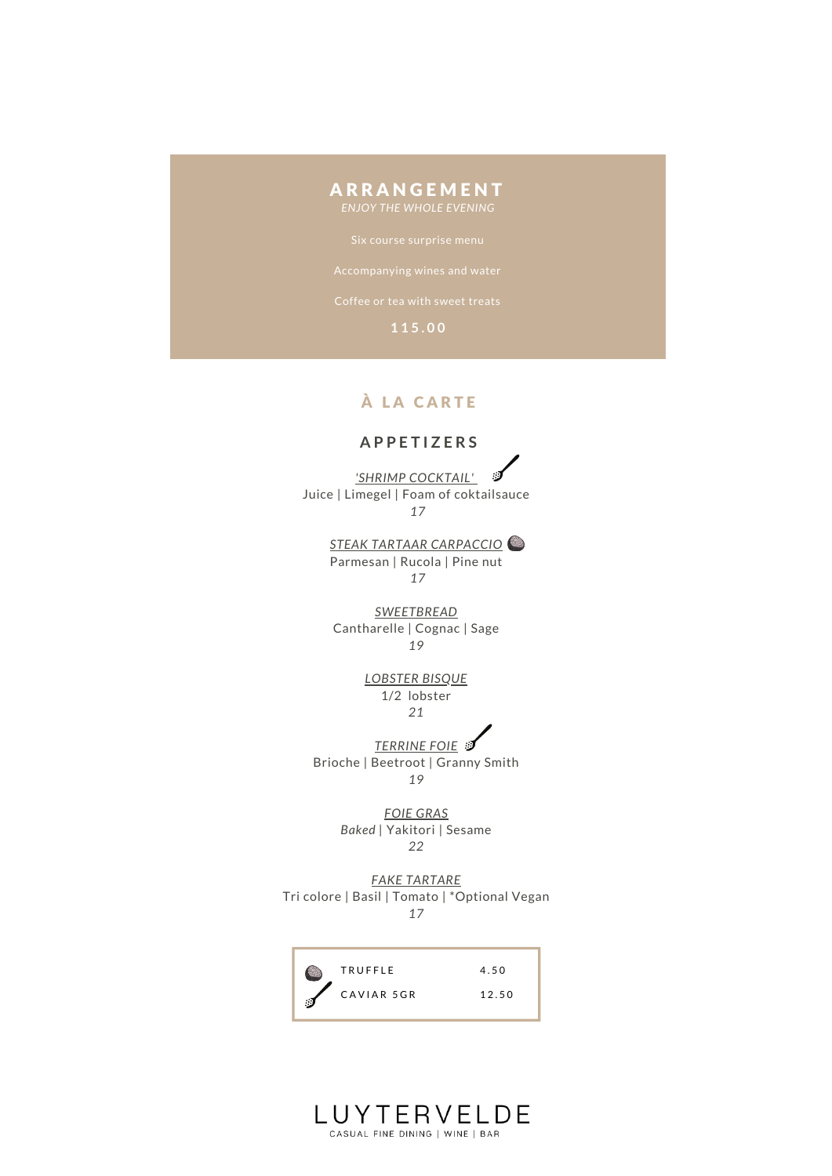# **ARRANGEMENT**

## À LA CARTE

### **A P P E T I Z E R S**

*'SHRIMP COCKTAIL'* ು Juice | Limegel | Foam of coktailsauce *17*

> *STEAK TARTAAR CARPACCIO* Parmesan | Rucola | Pine nut *17*

*SWEETBREAD* Cantharelle | Cognac | Sage *19*

> *LOBSTER BISQUE* 1/2 lobster *21*

*TERRINE FOIE* 

Brioche | Beetroot | Granny Smith *19*

> *FOIE GRAS Baked |* Yakitori | Sesame *22*

*FAKE TARTARE* Tri colore | Basil | Tomato | \*Optional Vegan *17*

T R U F F L E CAVIAR 5GR 4 . 5 0 1 2 . 5 0

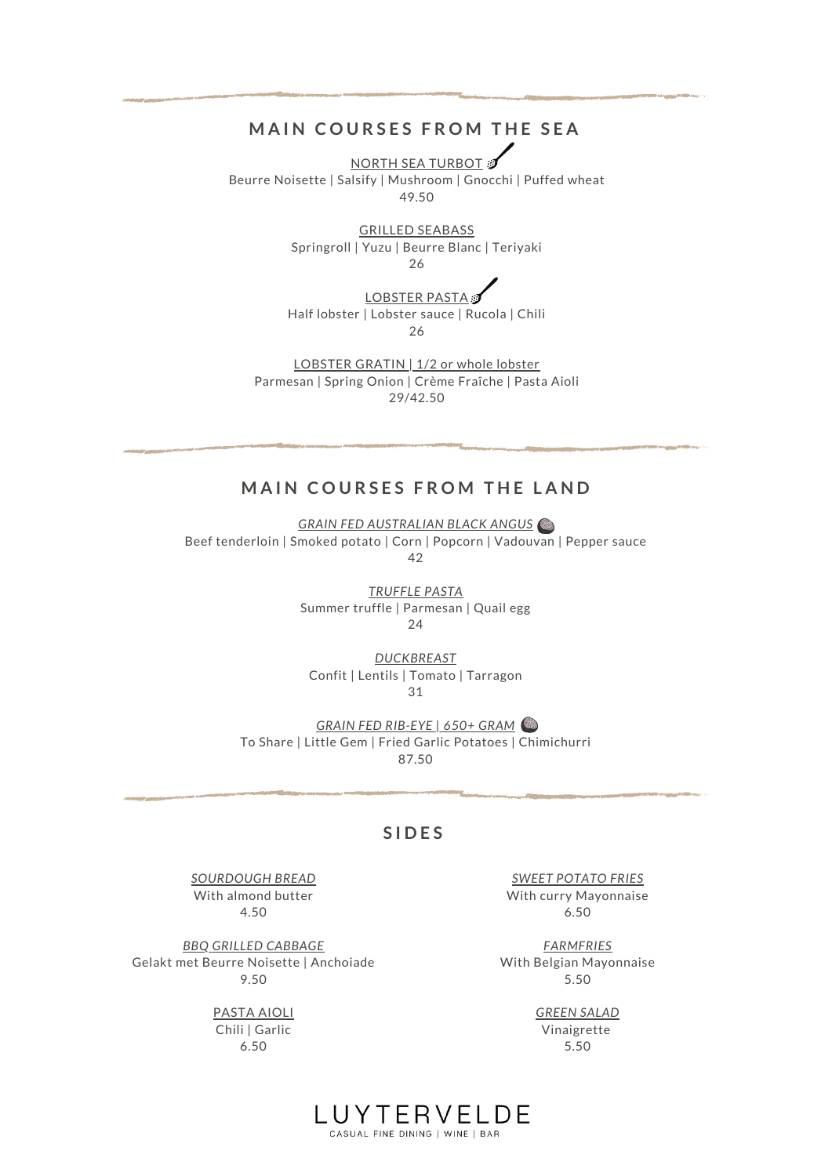## **MAIN COURSES FROM THE SEA**

NORTH SEA TURBOT Beurre Noisette | Salsify | Mushroom | Gnocchi | Puffed wheat 49.50

> GRILLED SEABASS Springroll | Yuzu | Beurre Blanc | Teriyaki 26

|  |  |  |  |  |  |  |  |  |  |  |  | I OBSTER PASTA |  |
|--|--|--|--|--|--|--|--|--|--|--|--|----------------|--|
|--|--|--|--|--|--|--|--|--|--|--|--|----------------|--|

Half lobster | Lobster sauce | Rucola | Chili 26

LOBSTER GRATIN | 1/2 or whole lobster Parmesan | Spring Onion | Crème Fraîche | Pasta Aioli 29/42.50

## **MAIN COURSES FROM THE LAND**

*GRAIN FED AUSTRALIAN BLACK ANGUS* Beef tenderloin | Smoked potato | Corn | Popcorn | Vadouvan | Pepper sauce 42

> *TRUFFLE PASTA* Summer truffle | Parmesan | Quail egg 24

*DUCKBREAST* Confit | Lentils | Tomato | Tarragon 31

*GRAIN FED RIB-EYE | 650+ GRAM* To Share | Little Gem | Fried Garlic Potatoes | Chimichurri 87.50

### **S I D E S**

*SOURDOUGH BREAD* With almond butter 4.50

*BBQ GRILLED CABBAGE* Gelakt met Beurre Noisette | Anchoiade 9.50

> PASTA AIOLI Chili | Garlic 6.50

*SWEET POTATO FRIES* With curry Mayonnaise 6.50

*FARMFRIES* With Belgian Mayonnaise 5.50

> *GREEN SALAD* Vinaigrette 5.50

LUYTERVELDE CASUAL FINE DINING | WINE | BAR